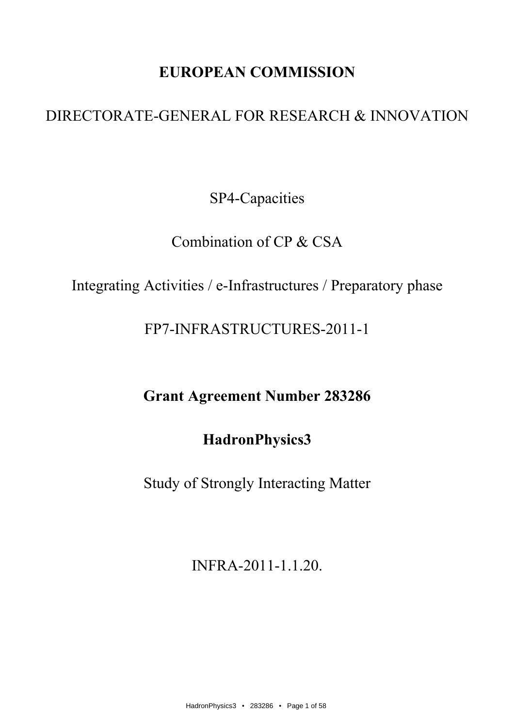# **EUROPEAN COMMISSION**

# DIRECTORATE-GENERAL FOR RESEARCH & INNOVATION

SP4-Capacities

Combination of  $CP & CSA$ 

## Integrating Activities / e-Infrastructures / Preparatory phase

FP7-INFRASTRUCTURES-2011-1

**Grant Agreement Number 283286** 

**HadronPhysics3** 

**Study of Strongly Interacting Matter** 

INFRA-2011-1.1.20.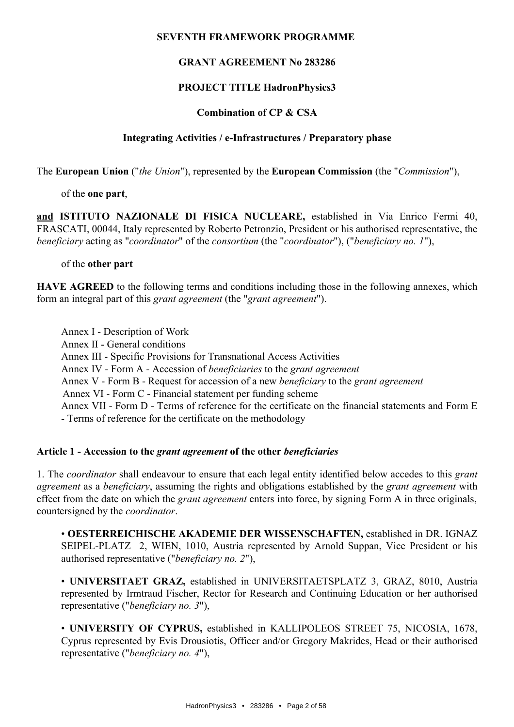#### **SEVENTH FRAMEWORK PROGRAMME**

## **GRANT AGREEMENT No 283286**

## **PROJECT TITLE HadronPhysics3**

## **Combination of CP & CSA**

## Integrating Activities / e-Infrastructures / Preparatory phase

The European Union ("the Union"), represented by the European Commission (the "Commission"),

of the one part,

and ISTITUTO NAZIONALE DI FISICA NUCLEARE, established in Via Enrico Fermi 40, FRASCATI, 00044, Italy represented by Roberto Petronzio, President or his authorised representative, the beneficiary acting as "coordinator" of the consortium (the "coordinator"), ("beneficiary no. 1"),

of the other part

**HAVE AGREED** to the following terms and conditions including those in the following annexes, which form an integral part of this grant agreement (the "grant agreement").

Annex I - Description of Work Annex II - General conditions Annex III - Specific Provisions for Transnational Access Activities Annex IV - Form A - Accession of *beneficiaries* to the grant agreement Annex V - Form B - Request for accession of a new *beneficiary* to the grant agreement Annex VI - Form C - Financial statement per funding scheme Annex VII - Form D - Terms of reference for the certificate on the financial statements and Form E - Terms of reference for the certificate on the methodology

#### Article 1 - Accession to the grant agreement of the other beneficiaries

1. The *coordinator* shall endeavour to ensure that each legal entity identified below accedes to this *grant agreement* as a *beneficiary*, assuming the rights and obligations established by the *grant agreement* with effect from the date on which the *grant agreement* enters into force, by signing Form A in three originals, countersigned by the *coordinator*.

• OESTERREICHISCHE AKADEMIE DER WISSENSCHAFTEN, established in DR. IGNAZ SEIPEL-PLATZ 2, WIEN, 1010, Austria represented by Arnold Suppan, Vice President or his authorised representative ("beneficiary no. 2"),

• UNIVERSITAET GRAZ, established in UNIVERSITAETSPLATZ 3, GRAZ, 8010, Austria represented by Irmtraud Fischer, Rector for Research and Continuing Education or her authorised representative ("beneficiary no. 3"),

• UNIVERSITY OF CYPRUS, established in KALLIPOLEOS STREET 75, NICOSIA, 1678, Cyprus represented by Evis Drousiotis, Officer and/or Gregory Makrides, Head or their authorised representative ("beneficiary no. 4"),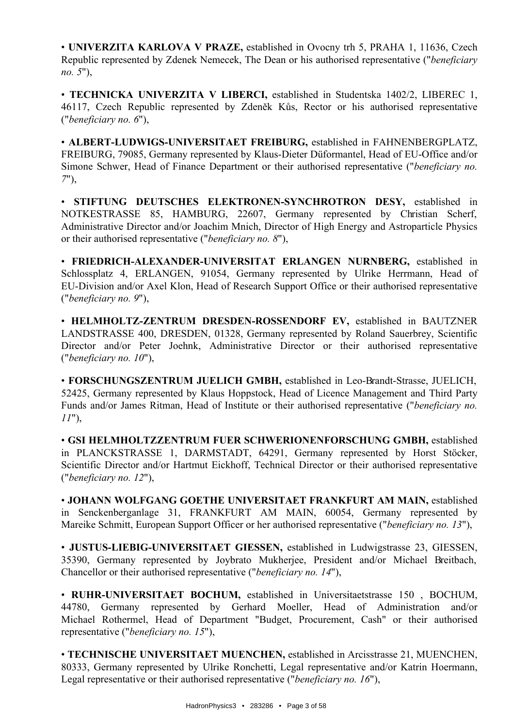• UNIVERZITA KARLOVA V PRAZE, established in Ovocny trh 5, PRAHA 1, 11636, Czech Republic represented by Zdenek Nemecek, The Dean or his authorised representative ("beneficiary  $no. 5$ ").

• TECHNICKA UNIVERZITA V LIBERCI, established in Studentska 1402/2, LIBEREC 1, 46117, Czech Republic represented by Zdeněk Kůs, Rector or his authorised representative ("beneficiary no.  $6$ "),

• ALBERT-LUDWIGS-UNIVERSITAET FREIBURG, established in FAHNENBERGPLATZ, FREIBURG, 79085, Germany represented by Klaus-Dieter Düformantel, Head of EU-Office and/or Simone Schwer, Head of Finance Department or their authorised representative ("beneficiary no.  $7")$ ,

· STIFTUNG DEUTSCHES ELEKTRONEN-SYNCHROTRON DESY, established in NOTKESTRASSE 85, HAMBURG, 22607, Germany represented by Christian Scherf, Administrative Director and/or Joachim Mnich, Director of High Energy and Astroparticle Physics or their authorised representative ("beneficiary no. 8"),

• FRIEDRICH-ALEXANDER-UNIVERSITAT ERLANGEN NURNBERG, established in Schlossplatz 4, ERLANGEN, 91054, Germany represented by Ulrike Herrmann, Head of EU-Division and/or Axel Klon, Head of Research Support Office or their authorised representative ("beneficiary no.  $9$ ").

• HELMHOLTZ-ZENTRUM DRESDEN-ROSSENDORF EV. established in BAUTZNER LANDSTRASSE 400, DRESDEN, 01328, Germany represented by Roland Sauerbrey, Scientific Director and/or Peter Joehnk, Administrative Director or their authorised representative ("beneficiary no.  $10$ ").

• FORSCHUNGSZENTRUM JUELICH GMBH, established in Leo-Brandt-Strasse, JUELICH, 52425, Germany represented by Klaus Hoppstock, Head of Licence Management and Third Party Funds and/or James Ritman, Head of Institute or their authorised representative ("beneficiary no.  $II$ "),

· GSI HELMHOLTZZENTRUM FUER SCHWERIONENFORSCHUNG GMBH, established in PLANCKSTRASSE 1, DARMSTADT, 64291, Germany represented by Horst Stöcker, Scientific Director and/or Hartmut Eickhoff, Technical Director or their authorised representative ("beneficiary no.  $12$ ").

· JOHANN WOLFGANG GOETHE UNIVERSITAET FRANKFURT AM MAIN, established in Senckenberganlage 31, FRANKFURT AM MAIN, 60054, Germany represented by Mareike Schmitt, European Support Officer or her authorised representative ("beneficiary no. 13").

• JUSTUS-LIEBIG-UNIVERSITAET GIESSEN, established in Ludwigstrasse 23, GIESSEN, 35390. Germany represented by Joybrato Mukherjee, President and/or Michael Breitbach, Chancellor or their authorised representative ("beneficiary no. 14").

• RUHR-UNIVERSITAET BOCHUM, established in Universitaetstrasse 150, BOCHUM, 44780, Germany represented by Gerhard Moeller, Head of Administration and/or Michael Rothermel, Head of Department "Budget, Procurement, Cash" or their authorised representative ("*beneficiary no. 15*"),

• TECHNISCHE UNIVERSITAET MUENCHEN, established in Arcisstrasse 21, MUENCHEN, 80333, Germany represented by Ulrike Ronchetti, Legal representative and/or Katrin Hoermann, Legal representative or their authorised representative ("beneficiary no. 16"),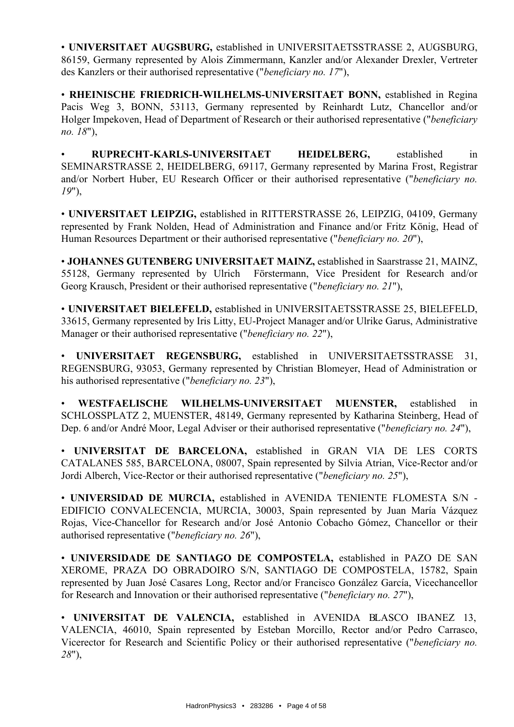• UNIVERSITAET AUGSBURG, established in UNIVERSITAETSSTRASSE 2. AUGSBURG. 86159, Germany represented by Alois Zimmermann, Kanzler and/or Alexander Drexler, Vertreter des Kanzlers or their authorised representative ("beneficiary no. 17"),

• RHEINISCHE FRIEDRICH-WILHELMS-UNIVERSITAET BONN, established in Regina Pacis Weg 3, BONN, 53113, Germany represented by Reinhardt Lutz, Chancellor and/or Holger Impekoven, Head of Department of Research or their authorised representative ("beneficiary *no.*  $18"$ ),

RUPRECHT-KARLS-UNIVERSITAET **HEIDELBERG,** established  $in$ SEMINARSTRASSE 2, HEIDELBERG, 69117, Germany represented by Marina Frost, Registrar and/or Norbert Huber, EU Research Officer or their authorised representative ("beneficiary no.  $19"$ ),

• UNIVERSITAET LEIPZIG, established in RITTERSTRASSE 26, LEIPZIG, 04109, Germany represented by Frank Nolden, Head of Administration and Finance and/or Fritz König, Head of Human Resources Department or their authorised representative ("beneficiary no. 20"),

• JOHANNES GUTENBERG UNIVERSITAET MAINZ, established in Saarstrasse 21, MAINZ, Förstermann, Vice President for Research and/or 55128. Germany represented by Ulrich Georg Krausch, President or their authorised representative ("beneficiary no. 21"),

• UNIVERSITAET BIELEFELD, established in UNIVERSITAETSSTRASSE 25, BIELEFELD, 33615. Germany represented by Iris Litty, EU-Project Manager and/or Ulrike Garus, Administrative Manager or their authorised representative ("beneficiary no. 22"),

UNIVERSITAET REGENSBURG, established in UNIVERSITAETSSTRASSE 31 REGENSBURG, 93053, Germany represented by Christian Blomeyer, Head of Administration or his authorised representative ("*beneficiary no. 23*"),

**WESTFAELISCHE** WILHELMS-UNIVERSITAET **MUENSTER,** established  $in$ SCHLOSSPLATZ 2, MUENSTER, 48149, Germany represented by Katharina Steinberg, Head of Dep. 6 and/or André Moor, Legal Adviser or their authorised representative ("beneficiary no. 24"),

· UNIVERSITAT DE BARCELONA, established in GRAN VIA DE LES CORTS CATALANES 585, BARCELONA, 08007, Spain represented by Silvia Atrian, Vice-Rector and/or Jordi Alberch, Vice-Rector or their authorised representative ("beneficiary no. 25"),

• UNIVERSIDAD DE MURCIA, established in AVENIDA TENIENTE FLOMESTA S/N -EDIFICIO CONVALECENCIA, MURCIA, 30003, Spain represented by Juan María Vázquez Rojas, Vice-Chancellor for Research and/or José Antonio Cobacho Gómez, Chancellor or their authorised representative ("*beneficiary no. 26*").

• UNIVERSIDADE DE SANTIAGO DE COMPOSTELA, established in PAZO DE SAN XEROME, PRAZA DO OBRADOIRO S/N, SANTIAGO DE COMPOSTELA, 15782, Spain represented by Juan José Casares Long, Rector and/or Francisco González García, Vicechancellor for Research and Innovation or their authorised representative ("beneficiary no. 27"),

• UNIVERSITAT DE VALENCIA, established in AVENIDA BLASCO IBANEZ 13. VALENCIA, 46010. Spain represented by Esteban Morcillo, Rector and/or Pedro Carrasco, Vicerector for Research and Scientific Policy or their authorised representative ("beneficiary no.  $28"$ ),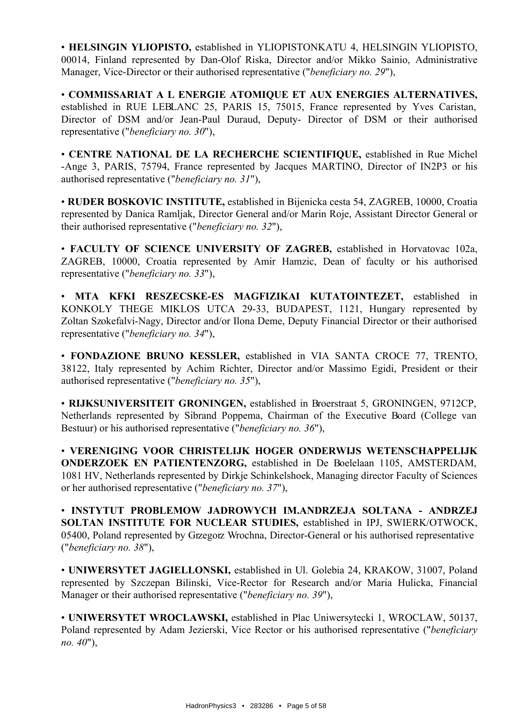• HELSINGIN YLIOPISTO, established in YLIOPISTONKATU 4. HELSINGIN YLIOPISTO. 00014, Finland represented by Dan-Olof Riska, Director and/or Mikko Sainio, Administrative Manager. Vice-Director or their authorised representative ("beneficiary no. 29").

• COMMISSARIAT A L ENERGIE ATOMIOUE ET AUX ENERGIES ALTERNATIVES. established in RUE LEBLANC 25, PARIS 15, 75015, France represented by Yves Caristan, Director of DSM and/or Jean-Paul Duraud, Deputy- Director of DSM or their authorised representative ("beneficiary no. 30"),

• CENTRE NATIONAL DE LA RECHERCHE SCIENTIFIQUE, established in Rue Michel -Ange 3, PARIS, 75794, France represented by Jacques MARTINO, Director of IN2P3 or his authorised representative ("beneficiary no. 31").

• RUDER BOSKOVIC INSTITUTE, established in Bijenicka cesta 54, ZAGREB, 10000, Croatia represented by Danica Ramljak, Director General and/or Marin Roje, Assistant Director General or their authorised representative ("beneficiary no. 32"),

• FACULTY OF SCIENCE UNIVERSITY OF ZAGREB, established in Horvatovac 102a, ZAGREB, 10000, Croatia represented by Amir Hamzic, Dean of faculty or his authorised representative ("*beneficiary no.* 33").

· MTA KFKI RESZECSKE-ES MAGFIZIKAI KUTATOINTEZET, established in KONKOLY THEGE MIKLOS UTCA 29-33, BUDAPEST, 1121, Hungary represented by Zoltan Szokefalvi-Nagy, Director and/or Ilona Deme, Deputy Financial Director or their authorised representative ("beneficiary no. 34"),

• FONDAZIONE BRUNO KESSLER, established in VIA SANTA CROCE 77. TRENTO. 38122. Italy represented by Achim Richter. Director and/or Massimo Egidi. President or their authorised representative ("beneficiary no. 35"),

• RIJKSUNIVERSITEIT GRONINGEN, established in Broerstraat 5, GRONINGEN, 9712CP, Netherlands represented by Sibrand Poppema, Chairman of the Executive Board (College van Bestuur) or his authorised representative ("beneficiary no. 36"),

• VERENIGING VOOR CHRISTELIJK HOGER ONDERWIJS WETENSCHAPPELIJK **ONDERZOEK EN PATIENTENZORG, established in De Boelelaan 1105, AMSTERDAM,** 1081 HV, Netherlands represented by Dirkje Schinkelshoek, Managing director Faculty of Sciences or her authorised representative ("*beneficiary no.* 37").

· INSTYTUT PROBLEMOW JADROWYCH IM.ANDRZEJA SOLTANA - ANDRZEJ SOLTAN INSTITUTE FOR NUCLEAR STUDIES, established in IPJ, SWIERK/OTWOCK, 05400, Poland represented by Gizegoiz Wrochna, Director-General or his authorised representative ("beneficiary no.  $38$ ").

• UNIWERSYTET JAGIELLONSKI, established in Ul. Golebia 24, KRAKOW, 31007, Poland represented by Szczepan Bilinski, Vice-Rector for Research and/or Maria Hulicka, Financial Manager or their authorised representative ("beneficiary no. 39"),

• UNIWERSYTET WROCLAWSKI, established in Plac Uniwersytecki 1, WROCLAW, 50137, Poland represented by Adam Jezierski. Vice Rector or his authorised representative ("beneficiary  $no. 40$ ").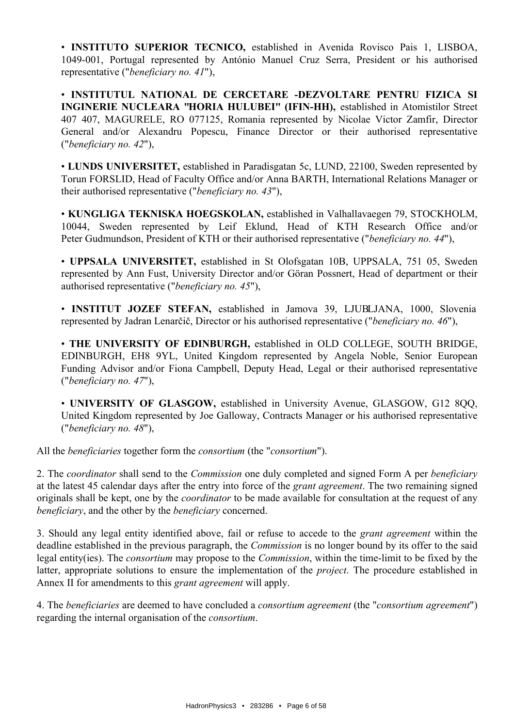• INSTITUTO SUPERIOR TECNICO, established in Avenida Rovisco Pais 1, LISBOA. 1049-001, Portugal represented by António Manuel Cruz Serra, President or his authorised representative ("*beneficiary no. 41*").

· INSTITUTUL NATIONAL DE CERCETARE -DEZVOLTARE PENTRU FIZICA SI INGINERIE NUCLEARA "HORIA HULUBEI" (IFIN-HH), established in Atomistilor Street 407 407, MAGURELE, RO 077125, Romania represented by Nicolae Victor Zamfir, Director General and/or Alexandru Popescu, Finance Director or their authorised representative ("beneficiary no. 42"),

• LUNDS UNIVERSITET, established in Paradisgatan 5c, LUND, 22100, Sweden represented by Torun FORSLID, Head of Faculty Office and/or Anna BARTH, International Relations Manager or their authorised representative ("beneficiary no. 43").

• KUNGLIGA TEKNISKA HOEGSKOLAN, established in Valhallavaegen 79, STOCKHOLM, 10044, Sweden represented by Leif Eklund, Head of KTH Research Office and/or Peter Gudmundson, President of KTH or their authorised representative ("beneficiary no. 44"),

• UPPSALA UNIVERSITET, established in St Olofsgatan 10B, UPPSALA, 751 05, Sweden represented by Ann Fust, University Director and/or Göran Possnert, Head of department or their authorised representative ("beneficiary no. 45"),

• INSTITUT JOZEF STEFAN, established in Jamova 39, LJUBLJANA, 1000, Slovenia represented by Jadran Lenarčič, Director or his authorised representative ("beneficiary no. 46"),

• THE UNIVERSITY OF EDINBURGH, established in OLD COLLEGE. SOUTH BRIDGE. EDINBURGH, EH8 9YL, United Kingdom represented by Angela Noble, Senior European Funding Advisor and/or Fiona Campbell, Deputy Head, Legal or their authorised representative ("beneficiary no. 47"),

• UNIVERSITY OF GLASGOW, established in University Avenue, GLASGOW, G12 8QQ, United Kingdom represented by Joe Galloway, Contracts Manager or his authorised representative ("beneficiary no. 48"),

All the *beneficiaries* together form the *consortium* (the "*consortium*").

2. The *coordinator* shall send to the *Commission* one duly completed and signed Form A per *beneficiary* at the latest 45 calendar days after the entry into force of the *grant agreement*. The two remaining signed originals shall be kept, one by the *coordinator* to be made available for consultation at the request of any beneficiary, and the other by the beneficiary concerned.

3. Should any legal entity identified above, fail or refuse to accede to the *grant agreement* within the deadline established in the previous paragraph, the *Commission* is no longer bound by its offer to the said legal entity(ies). The *consortium* may propose to the *Commission*, within the time-limit to be fixed by the latter, appropriate solutions to ensure the implementation of the *project*. The procedure established in Annex II for amendments to this *grant agreement* will apply.

4. The beneficiaries are deemed to have concluded a *consortium agreement* (the "*consortium agreement*") regarding the internal organisation of the *consortium*.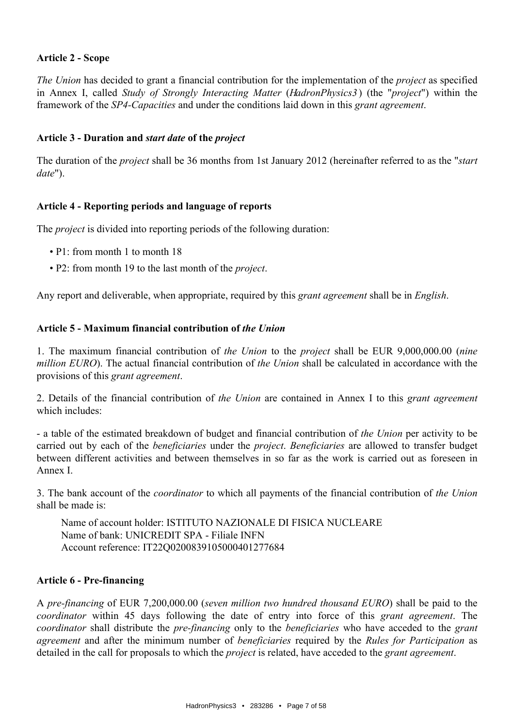#### **Article 2 - Scope**

The Union has decided to grant a financial contribution for the implementation of the *project* as specified in Annex I, called Study of Strongly Interacting Matter (HadronPhysics3) (the "project") within the framework of the SP4-Capacities and under the conditions laid down in this grant agreement.

#### Article 3 - Duration and *start date* of the *project*

The duration of the *project* shall be 36 months from 1st January 2012 (hereinafter referred to as the "start  $date$ ").

#### Article 4 - Reporting periods and language of reports

The *project* is divided into reporting periods of the following duration:

- $\cdot$  P1: from month 1 to month 18
- P2: from month 19 to the last month of the *project*.

Any report and deliverable, when appropriate, required by this grant agreement shall be in English.

#### Article 5 - Maximum financial contribution of the Union

1. The maximum financial contribution of the Union to the project shall be EUR 9,000,000.00 (nine million EURO). The actual financial contribution of the Union shall be calculated in accordance with the provisions of this grant agreement.

2. Details of the financial contribution of the Union are contained in Annex I to this grant agreement which includes:

- a table of the estimated breakdown of budget and financial contribution of the Union per activity to be carried out by each of the *beneficiaries* under the *project*. *Beneficiaries* are allowed to transfer budget between different activities and between themselves in so far as the work is carried out as foreseen in Annex I

3. The bank account of the *coordinator* to which all payments of the financial contribution of the Union shall be made is:

Name of account holder: ISTITUTO NAZIONALE DI FISICA NUCLEARE Name of bank: UNICREDIT SPA - Filiale INFN Account reference: IT22O0200839105000401277684

#### **Article 6 - Pre-financing**

A pre-financing of EUR 7,200,000.00 (seven million two hundred thousand EURO) shall be paid to the coordinator within 45 days following the date of entry into force of this grant agreement. The coordinator shall distribute the pre-financing only to the beneficiaries who have acceded to the grant agreement and after the minimum number of *beneficiaries* required by the *Rules for Participation* as detailed in the call for proposals to which the *project* is related, have acceded to the *grant agreement*.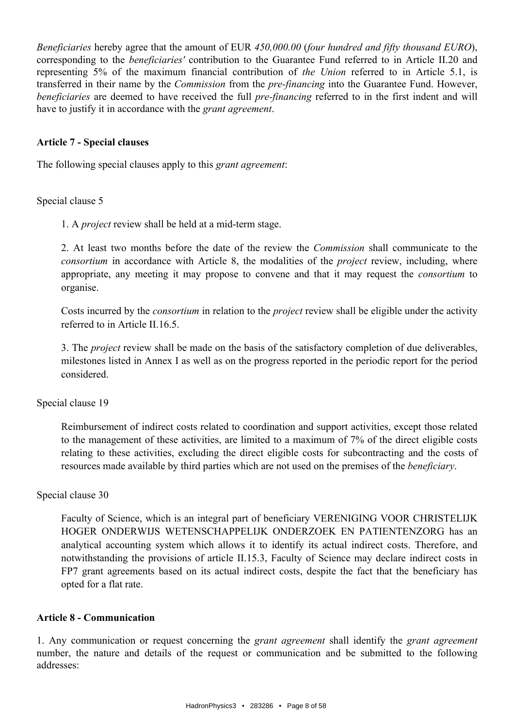Beneficiaries hereby agree that the amount of EUR 450,000,00 (four hundred and fifty thousand EURO). corresponding to the *beneficiaries'* contribution to the Guarantee Fund referred to in Article II.20 and representing 5% of the maximum financial contribution of the Union referred to in Article 5.1, is transferred in their name by the *Commission* from the *pre-financing* into the Guarantee Fund. However, beneficiaries are deemed to have received the full pre-financing referred to in the first indent and will have to justify it in accordance with the *grant agreement*.

#### **Article 7 - Special clauses**

The following special clauses apply to this grant agreement:

#### Special clause 5

1. A *project* review shall be held at a mid-term stage.

2. At least two months before the date of the review the Commission shall communicate to the *consortium* in accordance with Article 8, the modalities of the *project* review, including, where appropriate, any meeting it may propose to convene and that it may request the *consortium* to organise.

Costs incurred by the *consortium* in relation to the *project* review shall be eligible under the activity referred to in Article II.16.5.

3. The *project* review shall be made on the basis of the satisfactory completion of due deliverables, milestones listed in Annex I as well as on the progress reported in the periodic report for the period considered

Special clause 19

Reimbursement of indirect costs related to coordination and support activities, except those related to the management of these activities, are limited to a maximum of 7% of the direct eligible costs relating to these activities, excluding the direct eligible costs for subcontracting and the costs of resources made available by third parties which are not used on the premises of the *beneficiary*.

## Special clause 30

Faculty of Science, which is an integral part of beneficiary VERENIGING VOOR CHRISTELIJK HOGER ONDERWIJS WETENSCHAPPELIJK ONDERZOEK EN PATIENTENZORG has an analytical accounting system which allows it to identify its actual indirect costs. Therefore, and notwithstanding the provisions of article II.15.3, Faculty of Science may declare indirect costs in FP7 grant agreements based on its actual indirect costs, despite the fact that the beneficiary has opted for a flat rate.

#### **Article 8 - Communication**

1. Any communication or request concerning the grant agreement shall identify the grant agreement number, the nature and details of the request or communication and be submitted to the following addresses: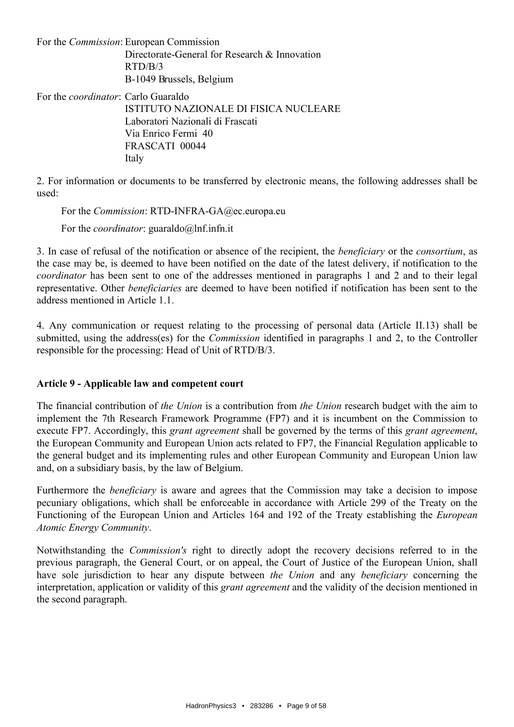For the *Commission*: European Commission

Directorate-General for Research & Innovation  $RTD/R/3$ B-1049 Brussels, Belgium

For the *coordinator*: Carlo Guaraldo ISTITUTO NAZIONALE DI FISICA NUCLEARE Laboratori Nazionali di Frascati Via Enrico Fermi 40 FRASCATI 00044 Italy

2. For information or documents to be transferred by electronic means, the following addresses shall be used:

For the *Commission*: RTD-INFRA-GA@ec.europa.eu

For the *coordinator*: guaraldo $@$ lnf.infn.it

3. In case of refusal of the notification or absence of the recipient, the *beneficiary* or the *consortium*, as the case may be, is deemed to have been notified on the date of the latest delivery, if notification to the *coordinator* has been sent to one of the addresses mentioned in paragraphs 1 and 2 and to their legal representative. Other *beneficiaries* are deemed to have been notified if notification has been sent to the address mentioned in Article 1 1

4. Any communication or request relating to the processing of personal data (Article II.13) shall be submitted, using the address(es) for the *Commission* identified in paragraphs 1 and 2, to the Controller responsible for the processing: Head of Unit of RTD/B/3.

## Article 9 - Applicable law and competent court

The financial contribution of the Union is a contribution from the Union research budget with the aim to implement the 7th Research Framework Programme (FP7) and it is incumbent on the Commission to execute FP7. Accordingly, this grant agreement shall be governed by the terms of this grant agreement, the European Community and European Union acts related to FP7, the Financial Regulation applicable to the general budget and its implementing rules and other European Community and European Union law and, on a subsidiary basis, by the law of Belgium.

Furthermore the *beneficiary* is aware and agrees that the Commission may take a decision to impose pecuniary obligations, which shall be enforceable in accordance with Article 299 of the Treaty on the Functioning of the European Union and Articles 164 and 192 of the Treaty establishing the *European* Atomic Energy Community.

Notwithstanding the *Commission's* right to directly adopt the recovery decisions referred to in the previous paragraph, the General Court, or on appeal, the Court of Justice of the European Union, shall have sole jurisdiction to hear any dispute between the Union and any beneficiary concerning the interpretation, application or validity of this *grant agreement* and the validity of the decision mentioned in the second paragraph.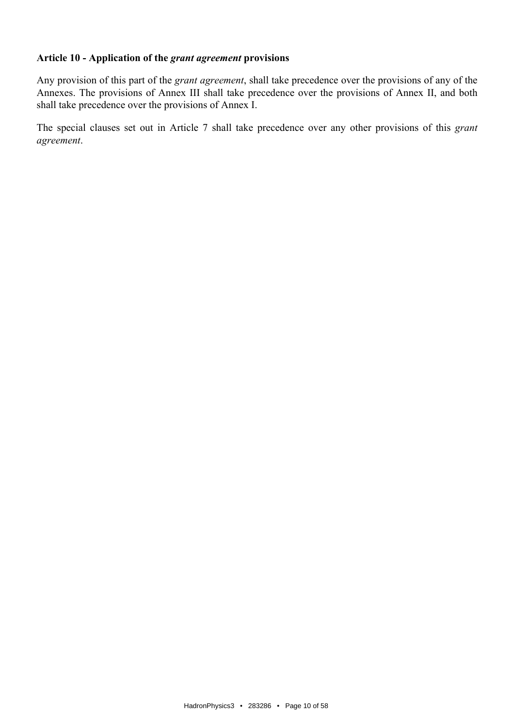#### Article 10 - Application of the grant agreement provisions

Any provision of this part of the *grant agreement*, shall take precedence over the provisions of any of the Annexes. The provisions of Annex III shall take precedence over the provisions of Annex II, and both shall take precedence over the provisions of Annex I.

The special clauses set out in Article 7 shall take precedence over any other provisions of this grant agreement.